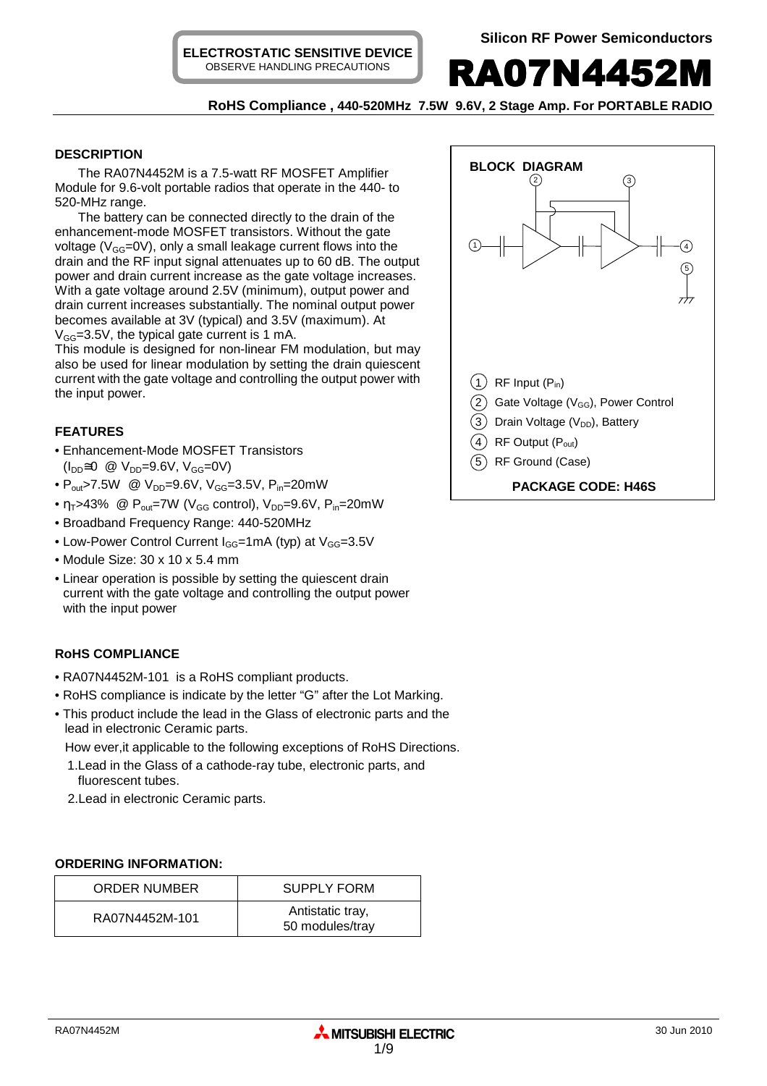**ELECTROSTATIC SENSITIVE DEVICE** OBSERVE HANDLING PRECAUTIONS



# **RoHS Compliance , 440-520MHz 7.5W 9.6V, 2 Stage Amp. For PORTABLE RADIO**

## **DESCRIPTION**

The RA07N4452M is a 7.5-watt RF MOSFET Amplifier Module for 9.6-volt portable radios that operate in the 440- to 520-MHz range.

The battery can be connected directly to the drain of the enhancement-mode MOSFET transistors. Without the gate voltage ( $V_{GG}$ =0V), only a small leakage current flows into the drain and the RF input signal attenuates up to 60 dB. The output power and drain current increase as the gate voltage increases. With a gate voltage around 2.5V (minimum), output power and drain current increases substantially. The nominal output power becomes available at 3V (typical) and 3.5V (maximum). At  $V_{GG}$ =3.5V, the typical gate current is 1 mA.

This module is designed for non-linear FM modulation, but may also be used for linear modulation by setting the drain quiescent current with the gate voltage and controlling the output power with the input power.

# **FEATURES**

- Enhancement-Mode MOSFET Transistors  $(I_{DD} \cong 0 \text{ @ } V_{DD} = 9.6 V, V_{GG} = 0 V)$
- $P_{out}$ >7.5W @  $V_{DD}$ =9.6V,  $V_{GG}$ =3.5V,  $P_{in}$ =20mW
- $\eta_T$ >43% @ P<sub>out</sub>=7W (V<sub>GG</sub> control), V<sub>DD</sub>=9.6V, P<sub>in</sub>=20mW
- Broadband Frequency Range: 440-520MHz
- Low-Power Control Current  $I_{GG}$ =1mA (typ) at  $V_{GG}$ =3.5V
- Module Size: 30 x 10 x 5.4 mm
- Linear operation is possible by setting the quiescent drain current with the gate voltage and controlling the output power with the input power

# **RoHS COMPLIANCE**

- RA07N4452M-101 is a RoHS compliant products.
- RoHS compliance is indicate by the letter "G" after the Lot Marking.
- This product include the lead in the Glass of electronic parts and the lead in electronic Ceramic parts.

How ever,it applicable to the following exceptions of RoHS Directions.

- 1.Lead in the Glass of a cathode-ray tube, electronic parts, and fluorescent tubes.
- 2.Lead in electronic Ceramic parts.

### **ORDERING INFORMATION:**

| ORDER NUMBER   | <b>SUPPLY FORM</b>                  |
|----------------|-------------------------------------|
| RA07N4452M-101 | Antistatic tray,<br>50 modules/tray |

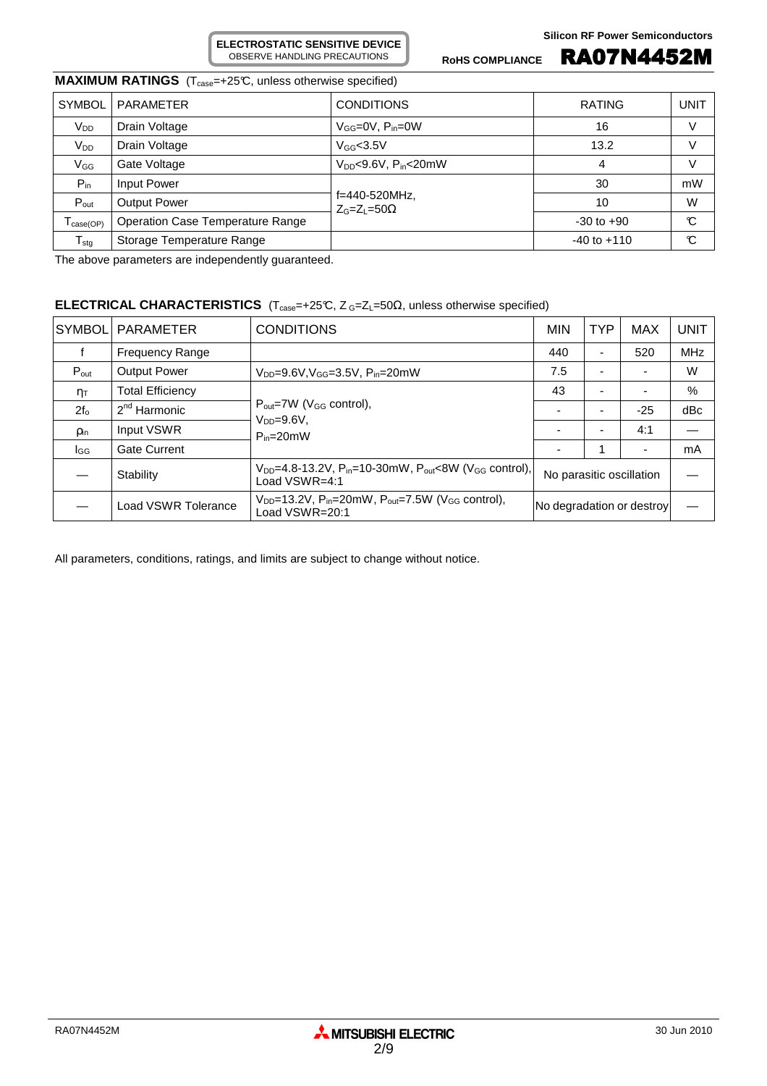# **MAXIMUM RATINGS** (T<sub>case</sub>=+25°C, unless otherwise specified)

| <b>SYMBOL</b>      | PARAMETER                        | <b>CONDITIONS</b>                     | <b>RATING</b>   | <b>UNIT</b> |
|--------------------|----------------------------------|---------------------------------------|-----------------|-------------|
| V <sub>DD</sub>    | Drain Voltage                    | $V_{GG}=$ 0V, $P_{in}=$ 0W            | 16              | V           |
| $V_{DD}$           | Drain Voltage                    | $V_{GG}$ <3.5V                        | 13.2            | V           |
| V <sub>GG</sub>    | Gate Voltage                     | $V_{DD}$ <9.6V, P <sub>in</sub> <20mW | 4               | V           |
| $P_{in}$           | Input Power                      |                                       | 30              | mW          |
| $P_{\text{out}}$   | <b>Output Power</b>              | f=440-520MHz,<br>$Z_G=Z_1=50\Omega$   | 10              | W           |
| $T_{\sf case(OP)}$ | Operation Case Temperature Range |                                       | $-30$ to $+90$  | C           |
| $T_{\text{stg}}$   | Storage Temperature Range        |                                       | $-40$ to $+110$ | C           |

The above parameters are independently guaranteed.

### **ELECTRICAL CHARACTERISTICS** (T<sub>case</sub>=+25℃, Z G=Z<sub>L</sub>=50Ω, unless otherwise specified)

**ELECTROSTATIC SENSITIVE DEVICE** OBSERVE HANDLING PRECAUTIONS

| <b>SYMBOL</b>       | <b>PARAMETER</b>        | <b>CONDITIONS</b>                                                                                                     | <b>MIN</b>                | <b>TYP</b> | <b>MAX</b> | <b>UNIT</b> |
|---------------------|-------------------------|-----------------------------------------------------------------------------------------------------------------------|---------------------------|------------|------------|-------------|
|                     | <b>Frequency Range</b>  |                                                                                                                       | 440                       | ۰          | 520        | <b>MHz</b>  |
| $P_{\text{out}}$    | <b>Output Power</b>     | $V_{DD} = 9.6 V, V_{GG} = 3.5 V, P_{in} = 20 mW$                                                                      | 7.5                       | ۰          |            | W           |
| $\eta_{\mathsf{T}}$ | <b>Total Efficiency</b> |                                                                                                                       |                           |            |            | %           |
| $2f_0$              | $2nd$ Harmonic          | $P_{\text{out}} = 7W$ (V <sub>GG</sub> control),<br>$VDD=9.6V$ ,<br>$P_{in}=20mW$                                     |                           | ۰          | $-25$      | dBc         |
| <b>Pin</b>          | Input VSWR              |                                                                                                                       |                           | ۰          | 4:1        |             |
| lgg                 | <b>Gate Current</b>     |                                                                                                                       |                           |            |            | mA          |
|                     | Stability               | $V_{DD} = 4.8 - 13.2V$ , P <sub>in</sub> =10-30mW, P <sub>out</sub> <8W (V <sub>GG</sub> control),<br>Load $VSWR=4:1$ | No parasitic oscillation  |            |            |             |
|                     | Load VSWR Tolerance     | $V_{DD}$ =13.2V, P <sub>in</sub> =20mW, P <sub>out</sub> =7.5W (V <sub>GG</sub> control),<br>Load VSWR=20:1           | No degradation or destroy |            |            |             |

All parameters, conditions, ratings, and limits are subject to change without notice.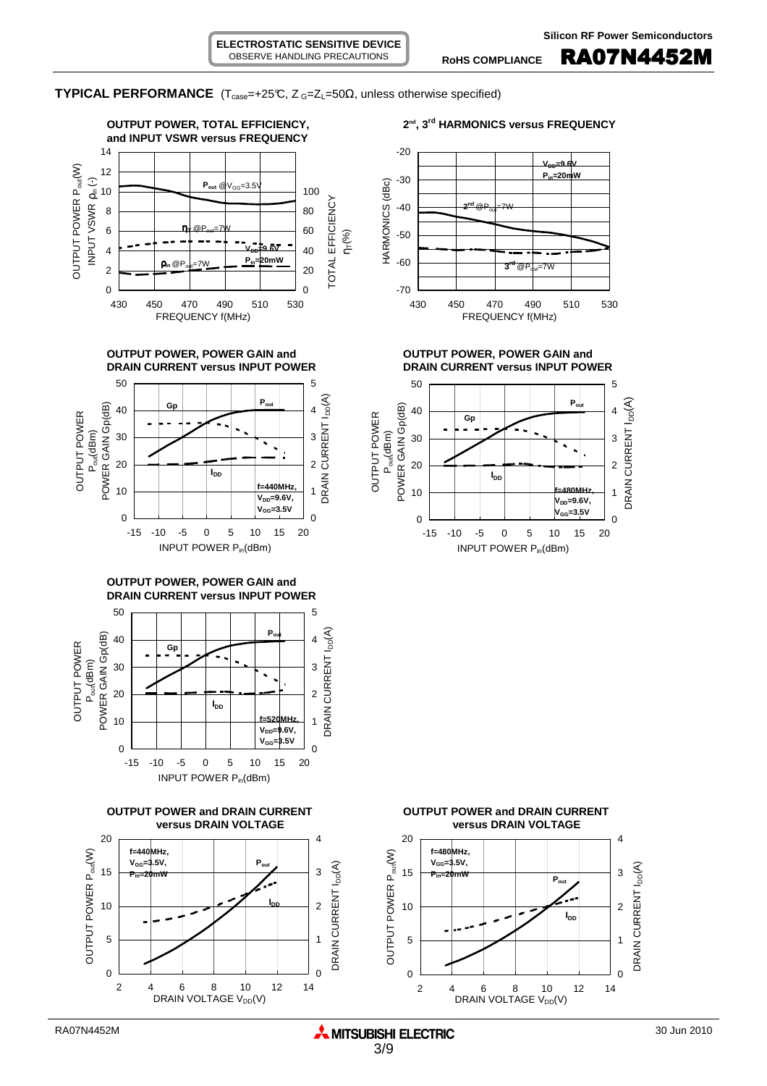**TYPICAL PERFORMANCE** ( $T_{case}$ =+25°C,  $Z_{G}$ = $Z_{L}$ =50 $\Omega$ , unless otherwise specified)

**ELECTROSTATIC SENSITIVE DEVICE** OBSERVE HANDLING PRECAUTIONS







**OUTPUT POWER, POWER GAIN and OUTPUT POWER, POWER GAIN and**









2 4 6 8 10 12 14 DRAIN VOLTAGE V<sub>DD</sub>(V)



**DRAIN CURRENT versus INPUT POWER DRAIN CURRENT versus INPUT POWER**

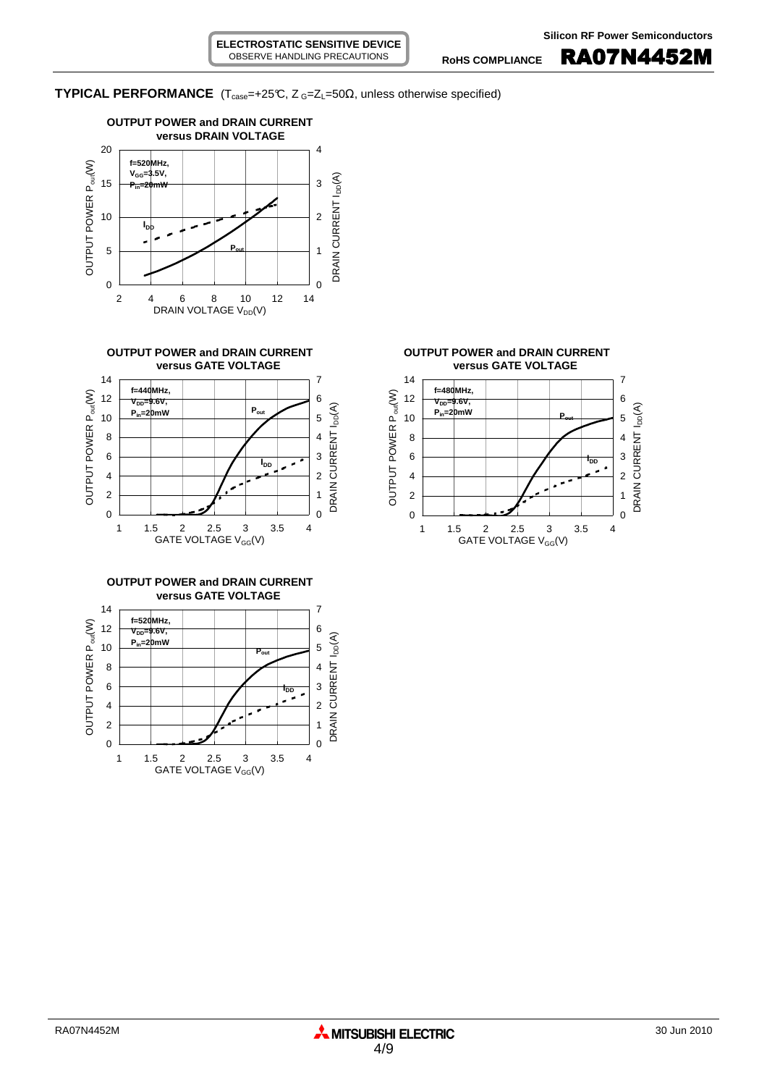**TYPICAL PERFORMANCE** ( $T_{case} = +25^\circ$ C,  $Z_{G} = Z_{L} = 50\Omega$ , unless otherwise specified)











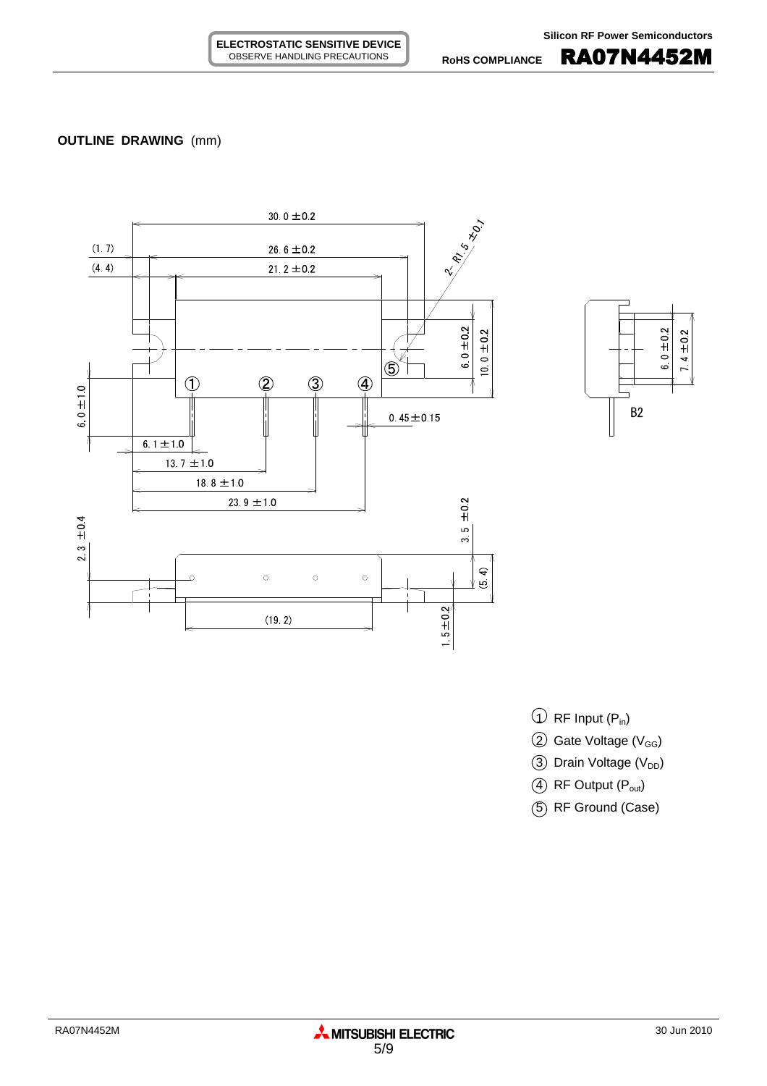# **OUTLINE DRAWING** (mm)





- $\overline{1}$  RF Input (P<sub>in</sub>)
- $(2)$  Gate Voltage (V<sub>GG</sub>)
- 3 Drain Voltage (V<sub>DD</sub>)
- $(4)$  RF Output  $(P_{out})$
- 5 RF Ground (Case)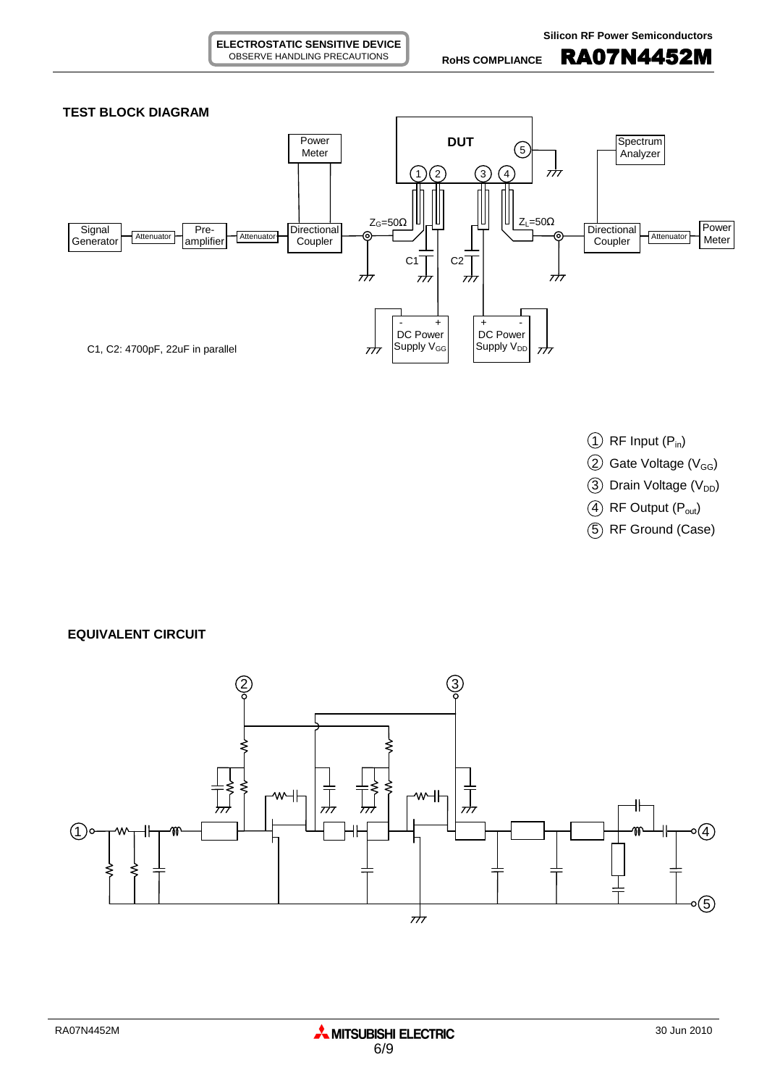

**ELECTROSTATIC SENSITIVE DEVICE** OBSERVE HANDLING PRECAUTIONS

- $(1)$  RF Input  $(P_{in})$
- $(2)$  Gate Voltage (V<sub>GG</sub>)
- $(3)$  Drain Voltage (V<sub>DD</sub>)
- $(4)$  RF Output  $(P_{out})$
- 5 RF Ground (Case)

**EQUIVALENT CIRCUIT**

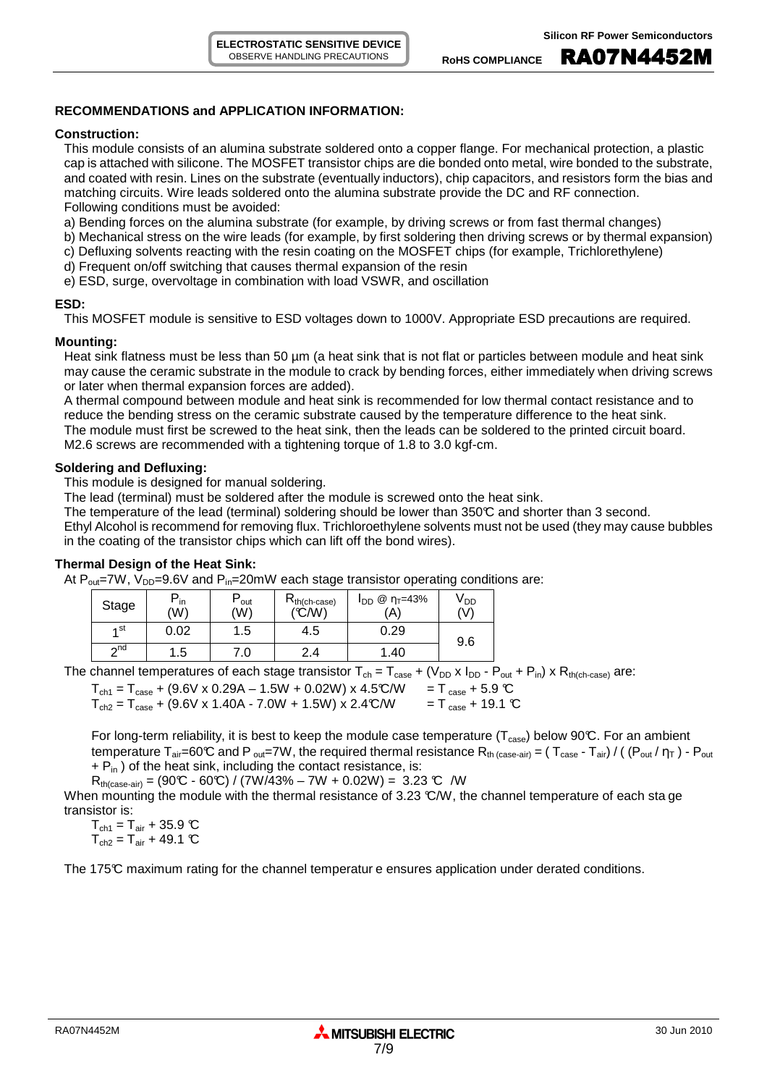#### **RECOMMENDATIONS and APPLICATION INFORMATION:**

#### **Construction:**

This module consists of an alumina substrate soldered onto a copper flange. For mechanical protection, a plastic cap is attached with silicone. The MOSFET transistor chips are die bonded onto metal, wire bonded to the substrate, and coated with resin. Lines on the substrate (eventually inductors), chip capacitors, and resistors form the bias and matching circuits. Wire leads soldered onto the alumina substrate provide the DC and RF connection. Following conditions must be avoided:

a) Bending forces on the alumina substrate (for example, by driving screws or from fast thermal changes)

- b) Mechanical stress on the wire leads (for example, by first soldering then driving screws or by thermal expansion)
- c) Defluxing solvents reacting with the resin coating on the MOSFET chips (for example, Trichlorethylene)
- d) Frequent on/off switching that causes thermal expansion of the resin
- e) ESD, surge, overvoltage in combination with load VSWR, and oscillation

#### **ESD:**

This MOSFET module is sensitive to ESD voltages down to 1000V. Appropriate ESD precautions are required.

#### **Mounting:**

Heat sink flatness must be less than 50  $\mu$ m (a heat sink that is not flat or particles between module and heat sink may cause the ceramic substrate in the module to crack by bending forces, either immediately when driving screws or later when thermal expansion forces are added).

A thermal compound between module and heat sink is recommended for low thermal contact resistance and to reduce the bending stress on the ceramic substrate caused by the temperature difference to the heat sink. The module must first be screwed to the heat sink, then the leads can be soldered to the printed circuit board. M2.6 screws are recommended with a tightening torque of 1.8 to 3.0 kgf-cm.

#### **Soldering and Defluxing:**

This module is designed for manual soldering.

The lead (terminal) must be soldered after the module is screwed onto the heat sink.

The temperature of the lead (terminal) soldering should be lower than 350°C and shorter than 3 second.

Ethyl Alcohol is recommend for removing flux. Trichloroethylene solvents must not be used (they may cause bubbles in the coating of the transistor chips which can lift off the bond wires).

### **Thermal Design of the Heat Sink:**

At  $P_{out}$ =7W, V<sub>DD</sub>=9.6V and  $P_{in}$ =20mW each stage transistor operating conditions are:

| Stage     | $\mathsf{m}$<br>(W) | out<br>(W) | $R_{th(ch-case)}$<br>(°C/W) | @ η⊤=43%<br><b>I</b> DD<br>(A) | V <sub>DD</sub><br>(V) |
|-----------|---------------------|------------|-----------------------------|--------------------------------|------------------------|
| ⊿ st      | 0.02                | .5         | 4.5                         | 0.29                           | 9.6                    |
| $\sim$ nd | .5                  | .0         | ⌒<br>2.4                    | .40                            |                        |

The channel temperatures of each stage transistor  $T_{ch} = T_{case} + (V_{DD} \times I_{DD} - P_{out} + P_{in}) \times R_{th(ch-case)}$  are:

 $T_{ch1} = T_{case} + (9.6V \times 0.29A - 1.5W + 0.02W) \times 4.5°C/W = T_{case} + 5.9°C$ <br>  $T_{ch2} = T_{case} + (9.6V \times 1.40A - 7.0W + 1.5W) \times 2.4°C/W = T_{case} + 19.1°C$  $T_{ch2} = T_{case} + (9.6V \times 1.40A - 7.0W + 1.5W) \times 2.4C/W$ 

For long-term reliability, it is best to keep the module case temperature ( $T_{case}$ ) below 90°C. For an ambient temperature  $T_{air}=60^{\circ}C$  and P <sub>out</sub>=7W, the required thermal resistance  $R_{th \ (case-air)} = (T_{case} - T_{air}) / ((P_{out}/\eta_T) - P_{out}$  $+ P_{in}$ ) of the heat sink, including the contact resistance, is:

 $R_{th (case-air)} = (90\text{°C} - 60\text{°C}) / (7W/43\% - 7W + 0.02W) = 3.23 \text{°C} /W$ 

When mounting the module with the thermal resistance of 3.23 °C/W, the channel temperature of each sta ge transistor is:

 $T_{\text{ch1}} = T_{\text{air}} + 35.9 \text{ °C}$  $T_{ch2} = T_{air} + 49.1$  °C

The 175°C maximum rating for the channel temperatur e ensures application under derated conditions.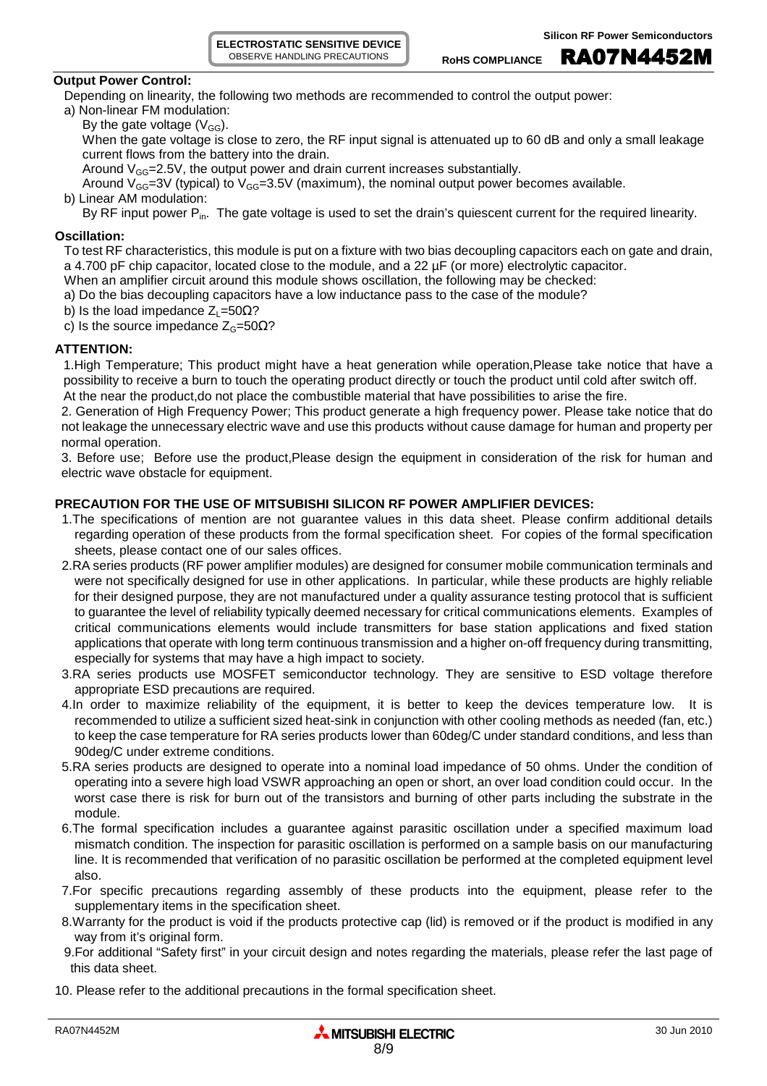**ELECTROSTATIC SENSITIVE DEVICE** OBSERVE HANDLING PRECAUTIONS

#### **Output Power Control:**

Depending on linearity, the following two methods are recommended to control the output power:

- a) Non-linear FM modulation:
	- By the gate voltage  $(V_{GG})$ .

When the gate voltage is close to zero, the RF input signal is attenuated up to 60 dB and only a small leakage current flows from the battery into the drain.

Around  $V_{GG}$ =2.5V, the output power and drain current increases substantially.

Around  $V_{GG}=3V$  (typical) to  $V_{GG}=3.5V$  (maximum), the nominal output power becomes available.

b) Linear AM modulation:

By RF input power P<sub>in</sub>. The gate voltage is used to set the drain's quiescent current for the required linearity.

#### **Oscillation:**

To test RF characteristics, this module is put on a fixture with two bias decoupling capacitors each on gate and drain, a 4.700 pF chip capacitor, located close to the module, and a 22 µF (or more) electrolytic capacitor.

- When an amplifier circuit around this module shows oscillation, the following may be checked:
- a) Do the bias decoupling capacitors have a low inductance pass to the case of the module?
- b) Is the load impedance  $Z_1$ =50 $\Omega$ ?
- c) Is the source impedance  $Z<sub>G</sub>=50 $\Omega$ ?$

#### **ATTENTION:**

1.High Temperature; This product might have a heat generation while operation,Please take notice that have a possibility to receive a burn to touch the operating product directly or touch the product until cold after switch off. At the near the product,do not place the combustible material that have possibilities to arise the fire.

2. Generation of High Frequency Power; This product generate a high frequency power. Please take notice that do not leakage the unnecessary electric wave and use this products without cause damage for human and property per normal operation.

3. Before use; Before use the product,Please design the equipment in consideration of the risk for human and electric wave obstacle for equipment.

### **PRECAUTION FOR THE USE OF MITSUBISHI SILICON RF POWER AMPLIFIER DEVICES:**

- 1.The specifications of mention are not guarantee values in this data sheet. Please confirm additional details regarding operation of these products from the formal specification sheet. For copies of the formal specification sheets, please contact one of our sales offices.
- 2.RA series products (RF power amplifier modules) are designed for consumer mobile communication terminals and were not specifically designed for use in other applications. In particular, while these products are highly reliable for their designed purpose, they are not manufactured under a quality assurance testing protocol that is sufficient to guarantee the level of reliability typically deemed necessary for critical communications elements. Examples of critical communications elements would include transmitters for base station applications and fixed station applications that operate with long term continuous transmission and a higher on-off frequency during transmitting, especially for systems that may have a high impact to society.
- 3.RA series products use MOSFET semiconductor technology. They are sensitive to ESD voltage therefore appropriate ESD precautions are required.
- 4.In order to maximize reliability of the equipment, it is better to keep the devices temperature low. It is recommended to utilize a sufficient sized heat-sink in conjunction with other cooling methods as needed (fan, etc.) to keep the case temperature for RA series products lower than 60deg/C under standard conditions, and less than 90deg/C under extreme conditions.
- 5.RA series products are designed to operate into a nominal load impedance of 50 ohms. Under the condition of operating into a severe high load VSWR approaching an open or short, an over load condition could occur. In the worst case there is risk for burn out of the transistors and burning of other parts including the substrate in the module.
- 6.The formal specification includes a guarantee against parasitic oscillation under a specified maximum load mismatch condition. The inspection for parasitic oscillation is performed on a sample basis on our manufacturing line. It is recommended that verification of no parasitic oscillation be performed at the completed equipment level also.
- 7.For specific precautions regarding assembly of these products into the equipment, please refer to the supplementary items in the specification sheet.
- 8.Warranty for the product is void if the products protective cap (lid) is removed or if the product is modified in any way from it's original form.
- 9.For additional "Safety first" in your circuit design and notes regarding the materials, please refer the last page of this data sheet.
- 10. Please refer to the additional precautions in the formal specification sheet.